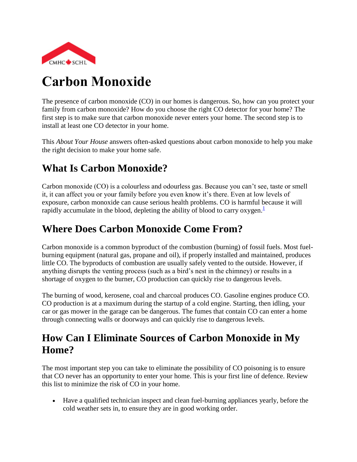

# **Carbon Monoxide**

The presence of carbon monoxide (CO) in our homes is dangerous. So, how can you protect your family from carbon monoxide? How do you choose the right CO detector for your home? The first step is to make sure that carbon monoxide never enters your home. The second step is to install at least one CO detector in your home.

This *About Your House* answers often-asked questions about carbon monoxide to help you make the right decision to make your home safe.

# **What Is Carbon Monoxide?**

Carbon monoxide (CO) is a colourless and odourless gas. Because you can't see, taste or smell it, it can affect you or your family before you even know it's there. Even at low levels of exposure, carbon monoxide can cause serious health problems. CO is harmful because it will rapidly accumulate in the blood, depleting the ability of blood to carry oxygen[.](http://www.cmhc-schl.gc.ca/en/co/maho/yohoyohe/inaiqu/inaiqu_002.cfm#footnotes) $\pm$ 

# **Where Does Carbon Monoxide Come From?**

Carbon monoxide is a common byproduct of the combustion (burning) of fossil fuels. Most fuelburning equipment (natural gas, propane and oil), if properly installed and maintained, produces little CO. The byproducts of combustion are usually safely vented to the outside. However, if anything disrupts the venting process (such as a bird's nest in the chimney) or results in a shortage of oxygen to the burner, CO production can quickly rise to dangerous levels.

The burning of wood, kerosene, coal and charcoal produces CO. Gasoline engines produce CO. CO production is at a maximum during the startup of a cold engine. Starting, then idling, your car or gas mower in the garage can be dangerous. The fumes that contain CO can enter a home through connecting walls or doorways and can quickly rise to dangerous levels.

# **How Can I Eliminate Sources of Carbon Monoxide in My Home?**

The most important step you can take to eliminate the possibility of CO poisoning is to ensure that CO never has an opportunity to enter your home. This is your first line of defence. Review this list to minimize the risk of CO in your home.

 Have a qualified technician inspect and clean fuel-burning appliances yearly, before the cold weather sets in, to ensure they are in good working order.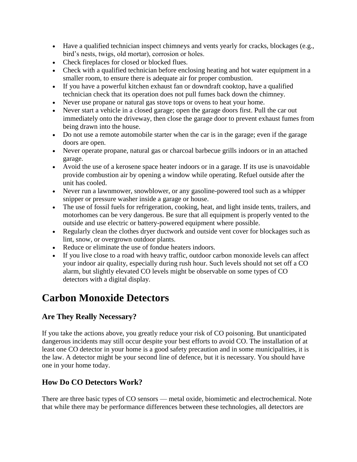- Have a qualified technician inspect chimneys and vents yearly for cracks, blockages (e.g., bird's nests, twigs, old mortar), corrosion or holes.
- Check fireplaces for closed or blocked flues.
- Check with a qualified technician before enclosing heating and hot water equipment in a smaller room, to ensure there is adequate air for proper combustion.
- If you have a powerful kitchen exhaust fan or downdraft cooktop, have a qualified technician check that its operation does not pull fumes back down the chimney.
- Never use propane or natural gas stove tops or ovens to heat your home.
- Never start a vehicle in a closed garage; open the garage doors first. Pull the car out immediately onto the driveway, then close the garage door to prevent exhaust fumes from being drawn into the house.
- Do not use a remote automobile starter when the car is in the garage; even if the garage doors are open.
- Never operate propane, natural gas or charcoal barbecue grills indoors or in an attached garage.
- Avoid the use of a kerosene space heater indoors or in a garage. If its use is unavoidable provide combustion air by opening a window while operating. Refuel outside after the unit has cooled.
- Never run a lawnmower, snowblower, or any gasoline-powered tool such as a whipper snipper or pressure washer inside a garage or house.
- The use of fossil fuels for refrigeration, cooking, heat, and light inside tents, trailers, and motorhomes can be very dangerous. Be sure that all equipment is properly vented to the outside and use electric or battery-powered equipment where possible.
- Regularly clean the clothes dryer ductwork and outside vent cover for blockages such as lint, snow, or overgrown outdoor plants.
- Reduce or eliminate the use of fondue heaters indoors.
- If you live close to a road with heavy traffic, outdoor carbon monoxide levels can affect your indoor air quality, especially during rush hour. Such levels should not set off a CO alarm, but slightly elevated CO levels might be observable on some types of CO detectors with a digital display.

# **Carbon Monoxide Detectors**

# **Are They Really Necessary?**

If you take the actions above, you greatly reduce your risk of CO poisoning. But unanticipated dangerous incidents may still occur despite your best efforts to avoid CO. The installation of at least one CO detector in your home is a good safety precaution and in some municipalities, it is the law. A detector might be your second line of defence, but it is necessary. You should have one in your home today.

# **How Do CO Detectors Work?**

There are three basic types of CO sensors — metal oxide, biomimetic and electrochemical. Note that while there may be performance differences between these technologies, all detectors are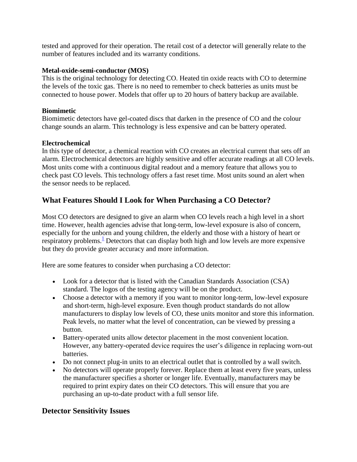tested and approved for their operation. The retail cost of a detector will generally relate to the number of features included and its warranty conditions.

#### **Metal-oxide-semi-conductor (MOS)**

This is the original technology for detecting CO. Heated tin oxide reacts with CO to determine the levels of the toxic gas. There is no need to remember to check batteries as units must be connected to house power. Models that offer up to 20 hours of battery backup are available.

#### **Biomimetic**

Biomimetic detectors have gel-coated discs that darken in the presence of CO and the colour change sounds an alarm. This technology is less expensive and can be battery operated.

#### **Electrochemical**

In this type of detector, a chemical reaction with CO creates an electrical current that sets off an alarm. Electrochemical detectors are highly sensitive and offer accurate readings at all CO levels. Most units come with a continuous digital readout and a memory feature that allows you to check past CO levels. This technology offers a fast reset time. Most units sound an alert when the sensor needs to be replaced.

### **What Features Should I Look for When Purchasing a CO Detector?**

Most CO detectors are designed to give an alarm when CO levels reach a high level in a short time. However, health agencies advise that long-term, low-level exposure is also of concern, especially for the unborn and young children, the elderly and those with a history of heart or respiratory problems[.](http://www.cmhc-schl.gc.ca/en/co/maho/yohoyohe/inaiqu/inaiqu_002.cfm#footnotes) $\frac{1}{2}$  Detectors that can display both high and low levels are more expensive but they do provide greater accuracy and more information.

Here are some features to consider when purchasing a CO detector:

- Look for a detector that is listed with the Canadian Standards Association (CSA) standard. The logos of the testing agency will be on the product.
- Choose a detector with a memory if you want to monitor long-term, low-level exposure and short-term, high-level exposure. Even though product standards do not allow manufacturers to display low levels of CO, these units monitor and store this information. Peak levels, no matter what the level of concentration, can be viewed by pressing a button.
- Battery-operated units allow detector placement in the most convenient location. However, any battery-operated device requires the user's diligence in replacing worn-out batteries.
- Do not connect plug-in units to an electrical outlet that is controlled by a wall switch.
- No detectors will operate properly forever. Replace them at least every five years, unless the manufacturer specifies a shorter or longer life. Eventually, manufacturers may be required to print expiry dates on their CO detectors. This will ensure that you are purchasing an up-to-date product with a full sensor life.

### **Detector Sensitivity Issues**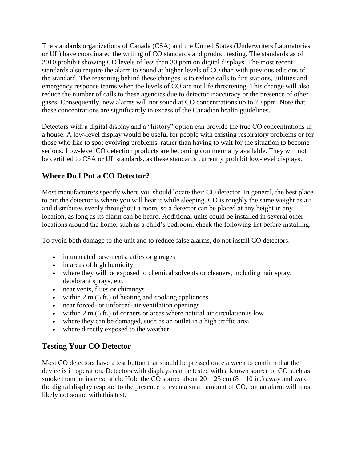The standards organizations of Canada (CSA) and the United States (Underwriters Laboratories or UL) have coordinated the writing of CO standards and product testing. The standards as of 2010 prohibit showing CO levels of less than 30 ppm on digital displays. The most recent standards also require the alarm to sound at higher levels of CO than with previous editions of the standard. The reasoning behind these changes is to reduce calls to fire stations, utilities and emergency response teams when the levels of CO are not life threatening. This change will also reduce the number of calls to these agencies due to detector inaccuracy or the presence of other gases. Consequently, new alarms will not sound at CO concentrations up to 70 ppm. Note that these concentrations are significantly in excess of the Canadian health guidelines.

Detectors with a digital display and a "history" option can provide the true CO concentrations in a house. A low-level display would be useful for people with existing respiratory problems or for those who like to spot evolving problems, rather than having to wait for the situation to become serious. Low-level CO detection products are becoming commercially available. They will not be certified to CSA or UL standards, as these standards currently prohibit low-level displays.

# **Where Do I Put a CO Detector?**

Most manufacturers specify where you should locate their CO detector. In general, the best place to put the detector is where you will hear it while sleeping. CO is roughly the same weight as air and distributes evenly throughout a room, so a detector can be placed at any height in any location, as long as its alarm can be heard. Additional units could be installed in several other locations around the home, such as a child's bedroom; check the following list before installing.

To avoid both damage to the unit and to reduce false alarms, do not install CO detectors:

- in unheated basements, attics or garages
- in areas of high humidity
- where they will be exposed to chemical solvents or cleaners, including hair spray, deodorant sprays, etc.
- near vents, flues or chimneys
- $\bullet$  within 2 m (6 ft.) of heating and cooking appliances
- near forced- or unforced-air ventilation openings
- $\bullet$  within 2 m (6 ft.) of corners or areas where natural air circulation is low
- where they can be damaged, such as an outlet in a high traffic area
- where directly exposed to the weather.

### **Testing Your CO Detector**

Most CO detectors have a test button that should be pressed once a week to confirm that the device is in operation. Detectors with displays can be tested with a known source of CO such as smoke from an incense stick. Hold the CO source about  $20 - 25$  cm  $(8 - 10)$  in.) away and watch the digital display respond to the presence of even a small amount of CO, but an alarm will most likely not sound with this test.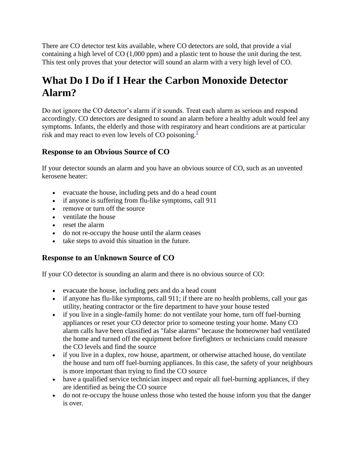There are CO detector test kits available, where CO detectors are sold, that provide a vial containing a high level of CO (1,000 ppm) and a plastic tent to house the unit during the test. This test only proves that your detector will sound an alarm with a very high level of CO.

# **What Do I Do if I Hear the Carbon Monoxide Detector Alarm?**

Do not ignore the CO detector's alarm if it sounds. Treat each alarm as serious and respond accordingly. CO detectors are designed to sound an alarm before a healthy adult would feel any symptoms. Infants, the elderly and those with respiratory and heart conditions are at particular risk and may react to even low levels of CO poisoning. $\frac{1}{1}$  $\frac{1}{1}$  $\frac{1}{1}$ 

# **Response to an Obvious Source of CO**

If your detector sounds an alarm and you have an obvious source of CO, such as an unvented kerosene heater:

- evacuate the house, including pets and do a head count
- if anyone is suffering from flu-like symptoms, call 911
- remove or turn off the source
- ventilate the house
- reset the alarm
- do not re-occupy the house until the alarm ceases
- take steps to avoid this situation in the future.

# **Response to an Unknown Source of CO**

If your CO detector is sounding an alarm and there is no obvious source of CO:

- evacuate the house, including pets and do a head count
- if anyone has flu-like symptoms, call 911; if there are no health problems, call your gas utility, heating contractor or the fire department to have your house tested
- if you live in a single-family home: do not ventilate your home, turn off fuel-burning appliances or reset your CO detector prior to someone testing your home. Many CO alarm calls have been classified as "false alarms" because the homeowner had ventilated the home and turned off the equipment before firefighters or technicians could measure the CO levels and find the source
- if you live in a duplex, row house, apartment, or otherwise attached house, do ventilate the house and turn off fuel-burning appliances. In this case, the safety of your neighbours is more important than trying to find the CO source
- have a qualified service technician inspect and repair all fuel-burning appliances, if they are identified as being the CO source
- do not re-occupy the house unless those who tested the house inform you that the danger is over.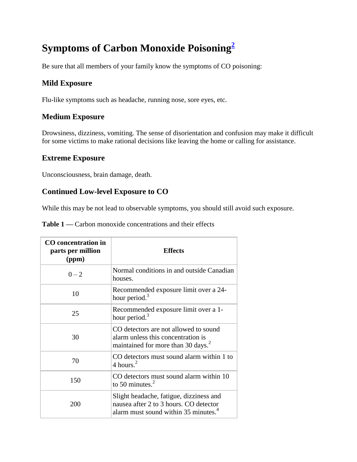# **Symptoms of Carbon Monoxide Poisoning[2](http://www.cmhc-schl.gc.ca/en/co/maho/yohoyohe/inaiqu/inaiqu_002.cfm#footnotes)**

Be sure that all members of your family know the symptoms of CO poisoning:

### **Mild Exposure**

Flu-like symptoms such as headache, running nose, sore eyes, etc.

### **Medium Exposure**

Drowsiness, dizziness, vomiting. The sense of disorientation and confusion may make it difficult for some victims to make rational decisions like leaving the home or calling for assistance.

### **Extreme Exposure**

Unconsciousness, brain damage, death.

### **Continued Low-level Exposure to CO**

While this may be not lead to observable symptoms, you should still avoid such exposure.

| CO concentration in<br>parts per million<br>(ppm) | <b>Effects</b>                                                                                                                        |
|---------------------------------------------------|---------------------------------------------------------------------------------------------------------------------------------------|
| $0 - 2$                                           | Normal conditions in and outside Canadian<br>houses.                                                                                  |
| 10                                                | Recommended exposure limit over a 24-<br>hour period. <sup>3</sup>                                                                    |
| 25                                                | Recommended exposure limit over a 1-<br>hour period. <sup>3</sup>                                                                     |
| 30                                                | CO detectors are not allowed to sound<br>alarm unless this concentration is<br>maintained for more than 30 days. <sup>2</sup>         |
| 70                                                | CO detectors must sound alarm within 1 to<br>4 hours. $^2$                                                                            |
| 150                                               | CO detectors must sound alarm within 10<br>to 50 minutes. $3$                                                                         |
| 200                                               | Slight headache, fatigue, dizziness and<br>nausea after 2 to 3 hours. CO detector<br>alarm must sound within 35 minutes. <sup>4</sup> |

Table 1 — Carbon monoxide concentrations and their effects